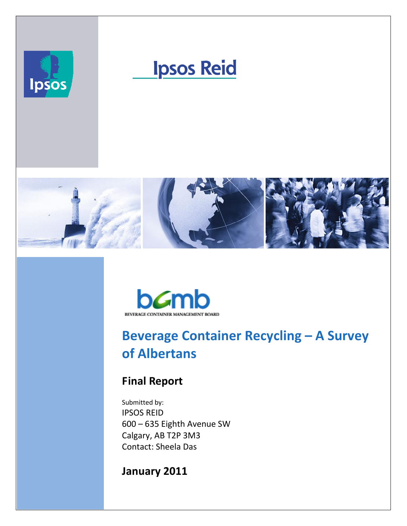

# **Ipsos Reid**





## **Beverage Container Recycling – A Survey of Albertans**

## **Final Report**

Submitted by: IPSOS REID 600 – 635 Eighth Avenue SW Calgary, AB T2P 3M3 Contact: Sheela Das

## **January 2011**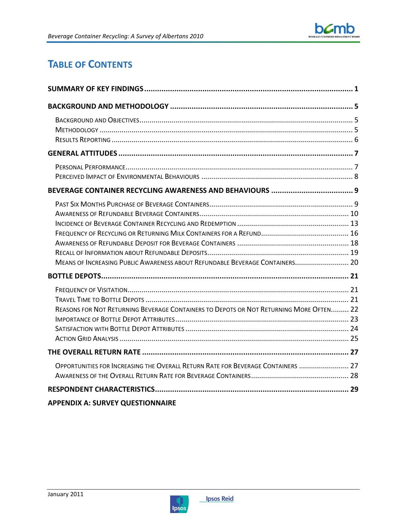## **TABLE OF CONTENTS**

| MEANS OF INCREASING PUBLIC AWARENESS ABOUT REFUNDABLE BEVERAGE CONTAINERS 20           |  |
|----------------------------------------------------------------------------------------|--|
|                                                                                        |  |
| REASONS FOR NOT RETURNING BEVERAGE CONTAINERS TO DEPOTS OR NOT RETURNING MORE OFTEN 22 |  |
|                                                                                        |  |
| OPPORTUNITIES FOR INCREASING THE OVERALL RETURN RATE FOR BEVERAGE CONTAINERS  27       |  |
|                                                                                        |  |
| <b>APPENDIX A: SURVEY QUESTIONNAIRE</b>                                                |  |

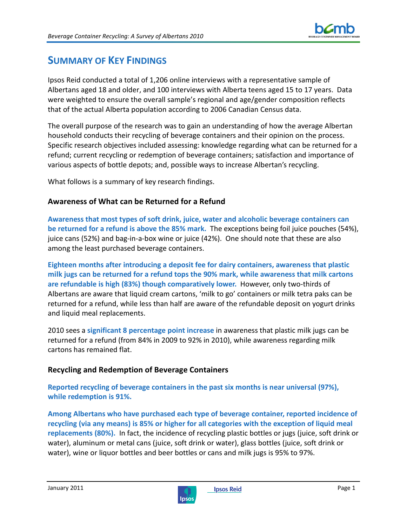

## **SUMMARY OF KEY FINDINGS**

Ipsos Reid conducted a total of 1,206 online interviews with a representative sample of Albertans aged 18 and older, and 100 interviews with Alberta teens aged 15 to 17 years. Data were weighted to ensure the overall sample's regional and age/gender composition reflects that of the actual Alberta population according to 2006 Canadian Census data.

The overall purpose of the research was to gain an understanding of how the average Albertan household conducts their recycling of beverage containers and their opinion on the process. Specific research objectives included assessing: knowledge regarding what can be returned for a refund; current recycling or redemption of beverage containers; satisfaction and importance of various aspects of bottle depots; and, possible ways to increase Albertan's recycling.

What follows is a summary of key research findings.

## **Awareness of What can be Returned for a Refund**

**Awareness that most types of soft drink, juice, water and alcoholic beverage containers can be returned for a refund is above the 85% mark.** The exceptions being foil juice pouches (54%), juice cans (52%) and bag-in-a-box wine or juice (42%). One should note that these are also among the least purchased beverage containers.

**Eighteen months after introducing a deposit fee for dairy containers, awareness that plastic milk jugs can be returned for a refund tops the 90% mark, while awareness that milk cartons are refundable is high (83%) though comparatively lower.** However, only two-thirds of Albertans are aware that liquid cream cartons, 'milk to go' containers or milk tetra paks can be returned for a refund, while less than half are aware of the refundable deposit on yogurt drinks and liquid meal replacements.

2010 sees a **significant 8 percentage point increase** in awareness that plastic milk jugs can be returned for a refund (from 84% in 2009 to 92% in 2010), while awareness regarding milk cartons has remained flat.

## **Recycling and Redemption of Beverage Containers**

**Reported recycling of beverage containers in the past six months is near universal (97%), while redemption is 91%.** 

**Among Albertans who have purchased each type of beverage container, reported incidence of recycling (via any means) is 85% or higher for all categories with the exception of liquid meal replacements (80%).** In fact, the incidence of recycling plastic bottles or jugs (juice, soft drink or water), aluminum or metal cans (juice, soft drink or water), glass bottles (juice, soft drink or water), wine or liquor bottles and beer bottles or cans and milk jugs is 95% to 97%.

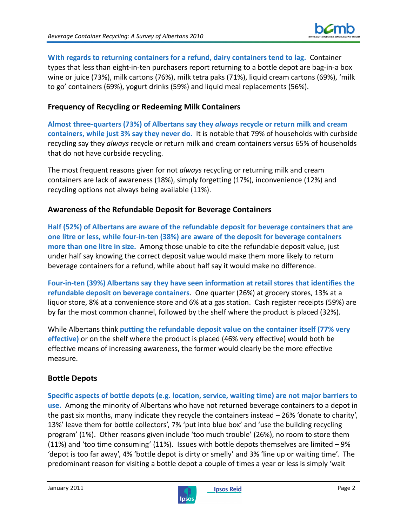

**With regards to returning containers for a refund, dairy containers tend to lag.** Container types that less than eight-in-ten purchasers report returning to a bottle depot are bag-in-a box wine or juice (73%), milk cartons (76%), milk tetra paks (71%), liquid cream cartons (69%), 'milk to go' containers (69%), yogurt drinks (59%) and liquid meal replacements (56%).

## **Frequency of Recycling or Redeeming Milk Containers**

**Almost three-quarters (73%) of Albertans say they** *always* **recycle or return milk and cream containers, while just 3% say they never do.** It is notable that 79% of households with curbside recycling say they *always* recycle or return milk and cream containers versus 65% of households that do not have curbside recycling.

The most frequent reasons given for not *always* recycling or returning milk and cream containers are lack of awareness (18%), simply forgetting (17%), inconvenience (12%) and recycling options not always being available (11%).

## **Awareness of the Refundable Deposit for Beverage Containers**

**Half (52%) of Albertans are aware of the refundable deposit for beverage containers that are one litre or less, while four-in-ten (38%) are aware of the deposit for beverage containers more than one litre in size.** Among those unable to cite the refundable deposit value, just under half say knowing the correct deposit value would make them more likely to return beverage containers for a refund, while about half say it would make no difference.

**Four-in-ten (39%) Albertans say they have seen information at retail stores that identifies the refundable deposit on beverage containers**. One quarter (26%) at grocery stores, 13% at a liquor store, 8% at a convenience store and 6% at a gas station. Cash register receipts (59%) are by far the most common channel, followed by the shelf where the product is placed (32%).

While Albertans think **putting the refundable deposit value on the container itself (77% very effective)** or on the shelf where the product is placed (46% very effective) would both be effective means of increasing awareness, the former would clearly be the more effective measure.

## **Bottle Depots**

**Specific aspects of bottle depots (e.g. location, service, waiting time) are not major barriers to use.** Among the minority of Albertans who have not returned beverage containers to a depot in the past six months, many indicate they recycle the containers instead – 26% 'donate to charity', 13%' leave them for bottle collectors', 7% 'put into blue box' and 'use the building recycling program' (1%). Other reasons given include 'too much trouble' (26%), no room to store them (11%) and 'too time consuming' (11%). Issues with bottle depots themselves are limited – 9% 'depot is too far away', 4% 'bottle depot is dirty or smelly' and 3% 'line up or waiting time'. The predominant reason for visiting a bottle depot a couple of times a year or less is simply 'wait

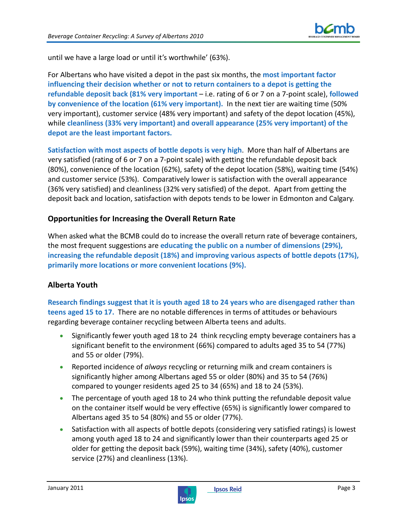

until we have a large load or until it's worthwhile' (63%).

For Albertans who have visited a depot in the past six months, the **most important factor influencing their decision whether or not to return containers to a depot is getting the refundable deposit back (81% very important** – i.e. rating of 6 or 7 on a 7-point scale), **followed by convenience of the location (61% very important).** In the next tier are waiting time (50% very important), customer service (48% very important) and safety of the depot location (45%), while **cleanliness (33% very important) and overall appearance (25% very important) of the depot are the least important factors.** 

**Satisfaction with most aspects of bottle depots is very high**. More than half of Albertans are very satisfied (rating of 6 or 7 on a 7-point scale) with getting the refundable deposit back (80%), convenience of the location (62%), safety of the depot location (58%), waiting time (54%) and customer service (53%). Comparatively lower is satisfaction with the overall appearance (36% very satisfied) and cleanliness (32% very satisfied) of the depot. Apart from getting the deposit back and location, satisfaction with depots tends to be lower in Edmonton and Calgary.

## **Opportunities for Increasing the Overall Return Rate**

When asked what the BCMB could do to increase the overall return rate of beverage containers, the most frequent suggestions are **educating the public on a number of dimensions (29%), increasing the refundable deposit (18%) and improving various aspects of bottle depots (17%), primarily more locations or more convenient locations (9%).**

## **Alberta Youth**

**Research findings suggest that it is youth aged 18 to 24 years who are disengaged rather than teens aged 15 to 17.** There are no notable differences in terms of attitudes or behaviours regarding beverage container recycling between Alberta teens and adults.

- Significantly fewer youth aged 18 to 24 think recycling empty beverage containers has a significant benefit to the environment (66%) compared to adults aged 35 to 54 (77%) and 55 or older (79%).
- Reported incidence of *always* recycling or returning milk and cream containers is significantly higher among Albertans aged 55 or older (80%) and 35 to 54 (76%) compared to younger residents aged 25 to 34 (65%) and 18 to 24 (53%).
- The percentage of youth aged 18 to 24 who think putting the refundable deposit value on the container itself would be very effective (65%) is significantly lower compared to Albertans aged 35 to 54 (80%) and 55 or older (77%).
- Satisfaction with all aspects of bottle depots (considering very satisfied ratings) is lowest among youth aged 18 to 24 and significantly lower than their counterparts aged 25 or older for getting the deposit back (59%), waiting time (34%), safety (40%), customer service (27%) and cleanliness (13%).

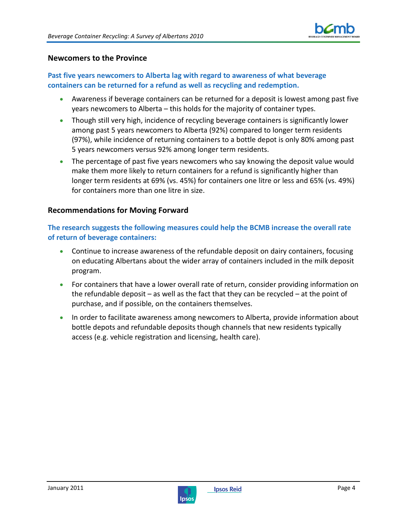

### **Newcomers to the Province**

## **Past five years newcomers to Alberta lag with regard to awareness of what beverage containers can be returned for a refund as well as recycling and redemption.**

- Awareness if beverage containers can be returned for a deposit is lowest among past five years newcomers to Alberta – this holds for the majority of container types.
- Though still very high, incidence of recycling beverage containers is significantly lower among past 5 years newcomers to Alberta (92%) compared to longer term residents (97%), while incidence of returning containers to a bottle depot is only 80% among past 5 years newcomers versus 92% among longer term residents.
- The percentage of past five years newcomers who say knowing the deposit value would make them more likely to return containers for a refund is significantly higher than longer term residents at 69% (vs. 45%) for containers one litre or less and 65% (vs. 49%) for containers more than one litre in size.

### **Recommendations for Moving Forward**

## **The research suggests the following measures could help the BCMB increase the overall rate of return of beverage containers:**

- Continue to increase awareness of the refundable deposit on dairy containers, focusing on educating Albertans about the wider array of containers included in the milk deposit program.
- For containers that have a lower overall rate of return, consider providing information on the refundable deposit – as well as the fact that they can be recycled – at the point of purchase, and if possible, on the containers themselves.
- In order to facilitate awareness among newcomers to Alberta, provide information about bottle depots and refundable deposits though channels that new residents typically access (e.g. vehicle registration and licensing, health care).

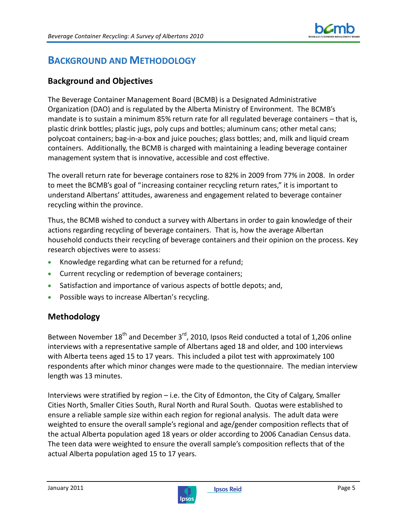

## **BACKGROUND AND METHODOLOGY**

## **Background and Objectives**

The Beverage Container Management Board (BCMB) is a Designated Administrative Organization (DAO) and is regulated by the Alberta Ministry of Environment. The BCMB's mandate is to sustain a minimum 85% return rate for all regulated beverage containers – that is, plastic drink bottles; plastic jugs, poly cups and bottles; aluminum cans; other metal cans; polycoat containers; bag-in-a-box and juice pouches; glass bottles; and, milk and liquid cream containers. Additionally, the BCMB is charged with maintaining a leading beverage container management system that is innovative, accessible and cost effective.

The overall return rate for beverage containers rose to 82% in 2009 from 77% in 2008. In order to meet the BCMB's goal of "increasing container recycling return rates," it is important to understand Albertans' attitudes, awareness and engagement related to beverage container recycling within the province.

Thus, the BCMB wished to conduct a survey with Albertans in order to gain knowledge of their actions regarding recycling of beverage containers. That is, how the average Albertan household conducts their recycling of beverage containers and their opinion on the process. Key research objectives were to assess:

- Knowledge regarding what can be returned for a refund;
- Current recycling or redemption of beverage containers;
- Satisfaction and importance of various aspects of bottle depots; and,
- Possible ways to increase Albertan's recycling.

## **Methodology**

Between November  $18<sup>th</sup>$  and December  $3<sup>rd</sup>$ , 2010, Ipsos Reid conducted a total of 1,206 online interviews with a representative sample of Albertans aged 18 and older, and 100 interviews with Alberta teens aged 15 to 17 years. This included a pilot test with approximately 100 respondents after which minor changes were made to the questionnaire. The median interview length was 13 minutes.

Interviews were stratified by region – i.e. the City of Edmonton, the City of Calgary, Smaller Cities North, Smaller Cities South, Rural North and Rural South. Quotas were established to ensure a reliable sample size within each region for regional analysis. The adult data were weighted to ensure the overall sample's regional and age/gender composition reflects that of the actual Alberta population aged 18 years or older according to 2006 Canadian Census data. The teen data were weighted to ensure the overall sample's composition reflects that of the actual Alberta population aged 15 to 17 years.

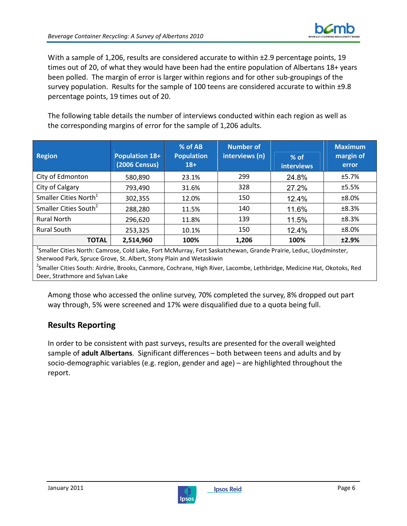

With a sample of 1,206, results are considered accurate to within ±2.9 percentage points, 19 times out of 20, of what they would have been had the entire population of Albertans 18+ years been polled. The margin of error is larger within regions and for other sub-groupings of the survey population. Results for the sample of 100 teens are considered accurate to within ±9.8 percentage points, 19 times out of 20.

The following table details the number of interviews conducted within each region as well as the corresponding margins of error for the sample of 1,206 adults.

| <b>Region</b>                     | <b>Population 18+</b><br><b>(2006 Census)</b> | % of AB<br><b>Population</b><br>$18+$ | <b>Number of</b><br>interviews (n) | % of<br><b>interviews</b> | <b>Maximum</b><br>margin of<br>error |
|-----------------------------------|-----------------------------------------------|---------------------------------------|------------------------------------|---------------------------|--------------------------------------|
| City of Edmonton                  | 580,890                                       | 23.1%                                 | 299                                | 24.8%                     | ±5.7%                                |
| City of Calgary                   | 793,490                                       | 31.6%                                 | 328                                | 27.2%                     | ±5.5%                                |
| Smaller Cities North <sup>1</sup> | 302,355                                       | 12.0%                                 | 150                                | 12.4%                     | ±8.0%                                |
| Smaller Cities South <sup>2</sup> | 288,280                                       | 11.5%                                 | 140                                | 11.6%                     | ±8.3%                                |
| <b>Rural North</b>                | 296,620                                       | 11.8%                                 | 139                                | 11.5%                     | ±8.3%                                |
| <b>Rural South</b>                | 253,325                                       | 10.1%                                 | 150                                | 12.4%                     | ±8.0%                                |
| <b>TOTAL</b><br>1                 | 2,514,960                                     | 100%                                  | 1,206                              | 100%                      | ±2.9%                                |

<sup>1</sup>Smaller Cities North: Camrose, Cold Lake, Fort McMurray, Fort Saskatchewan, Grande Prairie, Leduc, Lloydminster, Sherwood Park, Spruce Grove, St. Albert, Stony Plain and Wetaskiwin

<sup>2</sup>Smaller Cities South: Airdrie, Brooks, Canmore, Cochrane, High River, Lacombe, Lethbridge, Medicine Hat, Okotoks, Red Deer, Strathmore and Sylvan Lake

Among those who accessed the online survey, 70% completed the survey, 8% dropped out part way through, 5% were screened and 17% were disqualified due to a quota being full.

## **Results Reporting**

In order to be consistent with past surveys, results are presented for the overall weighted sample of **adult Albertans**. Significant differences – both between teens and adults and by socio-demographic variables (e.g. region, gender and age) – are highlighted throughout the report.

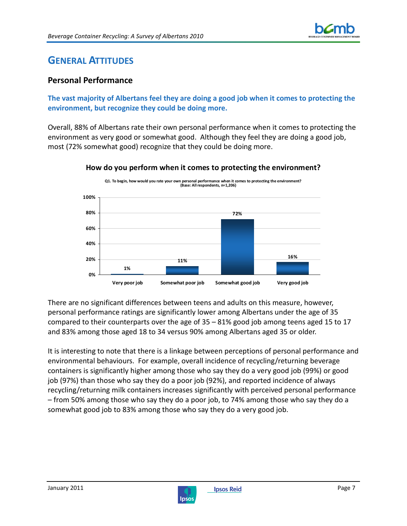

## **GENERAL ATTITUDES**

## **Personal Performance**

## **The vast majority of Albertans feel they are doing a good job when it comes to protecting the environment, but recognize they could be doing more.**

Overall, 88% of Albertans rate their own personal performance when it comes to protecting the environment as very good or somewhat good. Although they feel they are doing a good job, most (72% somewhat good) recognize that they could be doing more.



**How do you perform when it comes to protecting the environment?**

There are no significant differences between teens and adults on this measure, however, personal performance ratings are significantly lower among Albertans under the age of 35 compared to their counterparts over the age of 35 – 81% good job among teens aged 15 to 17 and 83% among those aged 18 to 34 versus 90% among Albertans aged 35 or older.

It is interesting to note that there is a linkage between perceptions of personal performance and environmental behaviours. For example, overall incidence of recycling/returning beverage containers is significantly higher among those who say they do a very good job (99%) or good job (97%) than those who say they do a poor job (92%), and reported incidence of always recycling/returning milk containers increases significantly with perceived personal performance – from 50% among those who say they do a poor job, to 74% among those who say they do a somewhat good job to 83% among those who say they do a very good job.

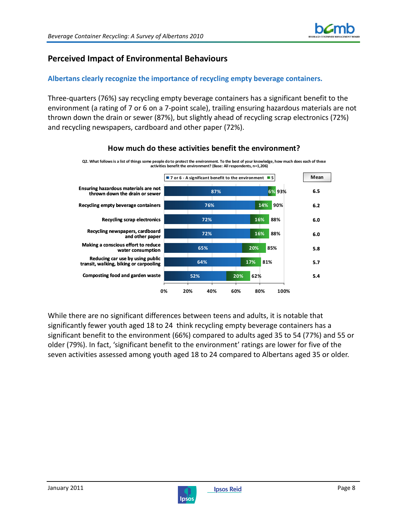## **Perceived Impact of Environmental Behaviours**

## **Albertans clearly recognize the importance of recycling empty beverage containers.**

Three-quarters (76%) say recycling empty beverage containers has a significant benefit to the environment (a rating of 7 or 6 on a 7-point scale), trailing ensuring hazardous materials are not thrown down the drain or sewer (87%), but slightly ahead of recycling scrap electronics (72%) and recycling newspapers, cardboard and other paper (72%).



## **How much do these activities benefit the environment?**

While there are no significant differences between teens and adults, it is notable that significantly fewer youth aged 18 to 24 think recycling empty beverage containers has a significant benefit to the environment (66%) compared to adults aged 35 to 54 (77%) and 55 or older (79%). In fact, 'significant benefit to the environment' ratings are lower for five of the seven activities assessed among youth aged 18 to 24 compared to Albertans aged 35 or older.

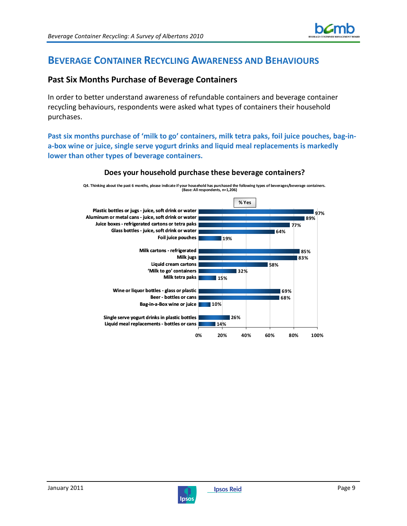

## **BEVERAGE CONTAINER RECYCLING AWARENESS AND BEHAVIOURS**

## **Past Six Months Purchase of Beverage Containers**

In order to better understand awareness of refundable containers and beverage container recycling behaviours, respondents were asked what types of containers their household purchases.

**Past six months purchase of 'milk to go' containers, milk tetra paks, foil juice pouches, bag-ina-box wine or juice, single serve yogurt drinks and liquid meal replacements is markedly lower than other types of beverage containers.**



#### **Does your household purchase these beverage containers?**

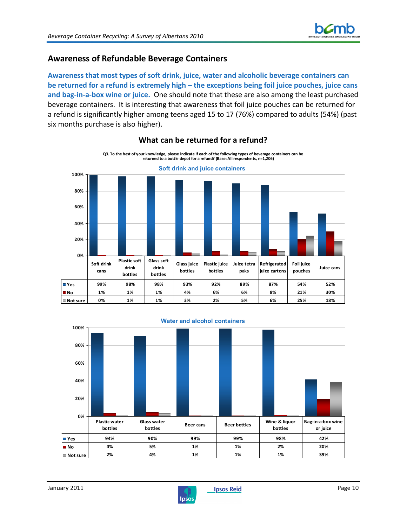## **Awareness of Refundable Beverage Containers**

**Awareness that most types of soft drink, juice, water and alcoholic beverage containers can be returned for a refund is extremely high – the exceptions being foil juice pouches, juice cans and bag-in-a-box wine or juice.** One should note that these are also among the least purchased beverage containers. It is interesting that awareness that foil juice pouches can be returned for a refund is significantly higher among teens aged 15 to 17 (76%) compared to adults (54%) (past six months purchase is also higher).



## **What can be returned for a refund?**



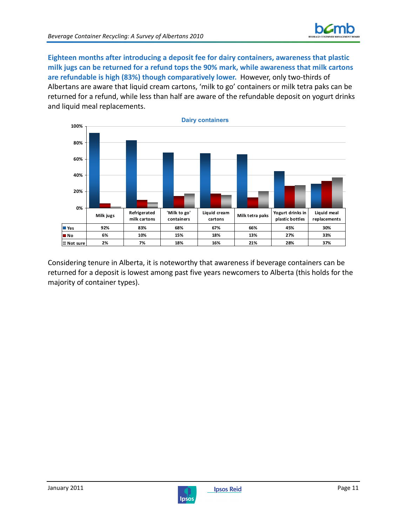**Eighteen months after introducing a deposit fee for dairy containers, awareness that plastic milk jugs can be returned for a refund tops the 90% mark, while awareness that milk cartons are refundable is high (83%) though comparatively lower.** However, only two-thirds of Albertans are aware that liquid cream cartons, 'milk to go' containers or milk tetra paks can be returned for a refund, while less than half are aware of the refundable deposit on yogurt drinks and liquid meal replacements.



Considering tenure in Alberta, it is noteworthy that awareness if beverage containers can be returned for a deposit is lowest among past five years newcomers to Alberta (this holds for the majority of container types).

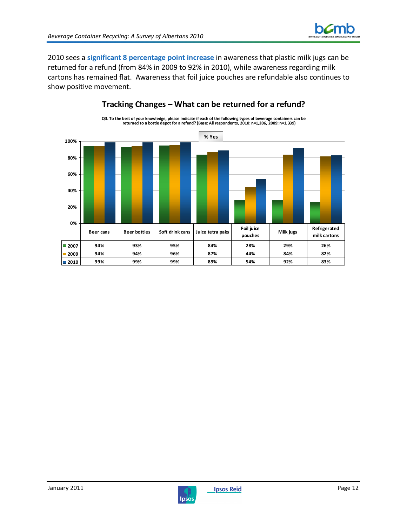

2010 sees a **significant 8 percentage point increase** in awareness that plastic milk jugs can be returned for a refund (from 84% in 2009 to 92% in 2010), while awareness regarding milk cartons has remained flat. Awareness that foil juice pouches are refundable also continues to show positive movement.



## **Tracking Changes – What can be returned for a refund?**

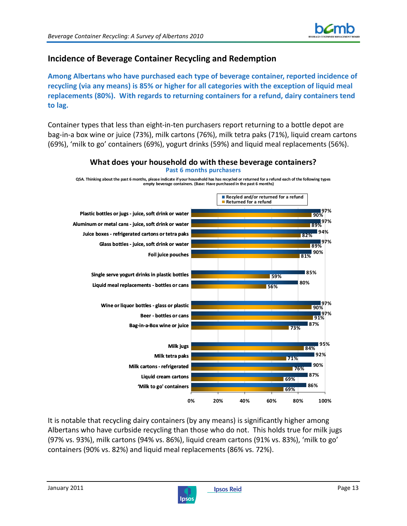

## **Incidence of Beverage Container Recycling and Redemption**

**Among Albertans who have purchased each type of beverage container, reported incidence of recycling (via any means) is 85% or higher for all categories with the exception of liquid meal replacements (80%). With regards to returning containers for a refund, dairy containers tend to lag.**

Container types that less than eight-in-ten purchasers report returning to a bottle depot are bag-in-a box wine or juice (73%), milk cartons (76%), milk tetra paks (71%), liquid cream cartons (69%), 'milk to go' containers (69%), yogurt drinks (59%) and liquid meal replacements (56%).



It is notable that recycling dairy containers (by any means) is significantly higher among Albertans who have curbside recycling than those who do not. This holds true for milk jugs (97% vs. 93%), milk cartons (94% vs. 86%), liquid cream cartons (91% vs. 83%), 'milk to go' containers (90% vs. 82%) and liquid meal replacements (86% vs. 72%).

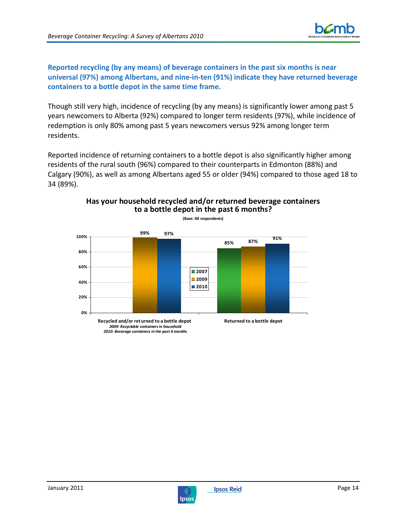

**Reported recycling (by any means) of beverage containers in the past six months is near universal (97%) among Albertans, and nine-in-ten (91%) indicate they have returned beverage containers to a bottle depot in the same time frame.** 

Though still very high, incidence of recycling (by any means) is significantly lower among past 5 years newcomers to Alberta (92%) compared to longer term residents (97%), while incidence of redemption is only 80% among past 5 years newcomers versus 92% among longer term residents.

Reported incidence of returning containers to a bottle depot is also significantly higher among residents of the rural south (96%) compared to their counterparts in Edmonton (88%) and Calgary (90%), as well as among Albertans aged 55 or older (94%) compared to those aged 18 to 34 (89%).



#### **Has your household recycled and/or returned beverage containers to a bottle depot in the past 6 months? (Base: All respondents)**

*2009: Recyclable containers in household 2010: Beverage containers in the past 6 months*

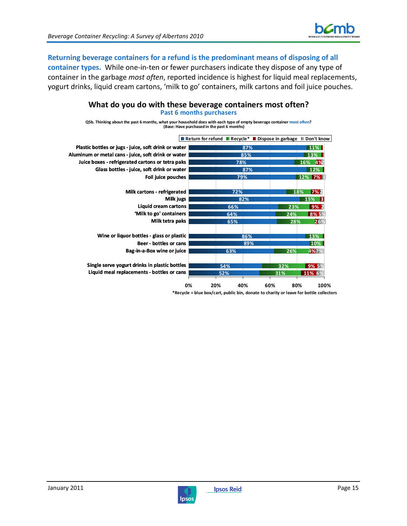

## **Returning beverage containers for a refund is the predominant means of disposing of all**

**container types.** While one-in-ten or fewer purchasers indicate they dispose of any type of container in the garbage *most often*, reported incidence is highest for liquid meal replacements, yogurt drinks, liquid cream cartons, 'milk to go' containers, milk cartons and foil juice pouches.



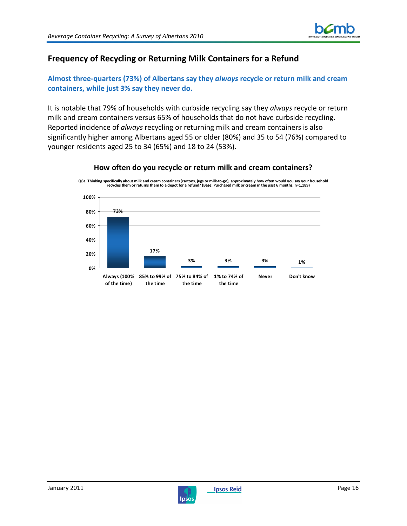

## **Frequency of Recycling or Returning Milk Containers for a Refund**

**Almost three-quarters (73%) of Albertans say they** *always* **recycle or return milk and cream containers, while just 3% say they never do.** 

It is notable that 79% of households with curbside recycling say they *always* recycle or return milk and cream containers versus 65% of households that do not have curbside recycling. Reported incidence of *always* recycling or returning milk and cream containers is also significantly higher among Albertans aged 55 or older (80%) and 35 to 54 (76%) compared to younger residents aged 25 to 34 (65%) and 18 to 24 (53%).



**How often do you recycle or return milk and cream containers? Q6a. Thinking specifically about milk and cream containers (cartons, jugs or milk-to-go), approximately how often would you say your household** 

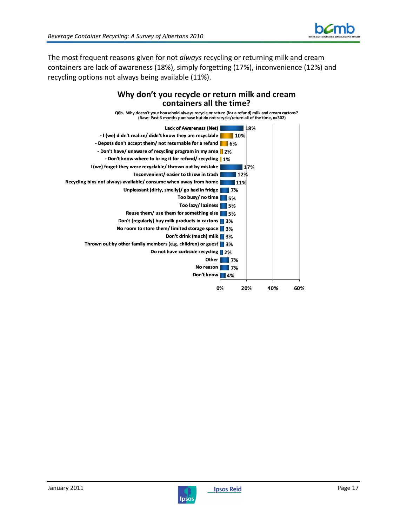

The most frequent reasons given for not *always* recycling or returning milk and cream containers are lack of awareness (18%), simply forgetting (17%), inconvenience (12%) and recycling options not always being available (11%).

## **Why don't you recycle or return milk and cream containers all the time?**





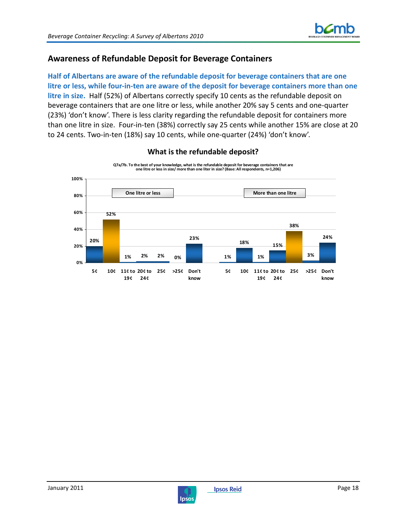

## **Awareness of Refundable Deposit for Beverage Containers**

**Half of Albertans are aware of the refundable deposit for beverage containers that are one litre or less, while four-in-ten are aware of the deposit for beverage containers more than one litre in size.** Half (52%) of Albertans correctly specify 10 cents as the refundable deposit on beverage containers that are one litre or less, while another 20% say 5 cents and one-quarter (23%) 'don't know'. There is less clarity regarding the refundable deposit for containers more than one litre in size. Four-in-ten (38%) correctly say 25 cents while another 15% are close at 20 to 24 cents. Two-in-ten (18%) say 10 cents, while one-quarter (24%) 'don't know'.



#### **What is the refundable deposit?**

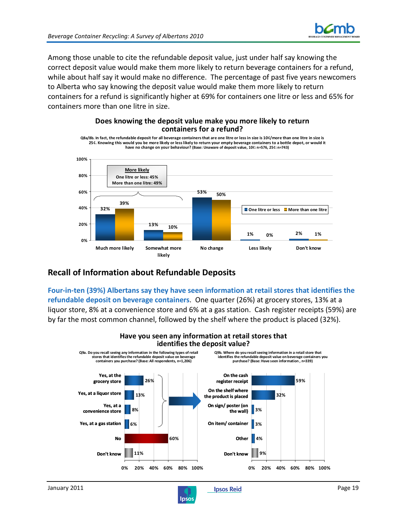

Among those unable to cite the refundable deposit value, just under half say knowing the correct deposit value would make them more likely to return beverage containers for a refund, while about half say it would make no difference. The percentage of past five years newcomers to Alberta who say knowing the deposit value would make them more likely to return containers for a refund is significantly higher at 69% for containers one litre or less and 65% for containers more than one litre in size.

#### **Does knowing the deposit value make you more likely to return containers for a refund?**

**Q8a/8b. In fact, the refundable deposit for all beverage containers that are one litre or less in size is 10¢/more than one litre in size is 25¢. Knowing this would you be more likely or less likely to return your empty beverage containers to a bottle depot, or would it have no change on your behaviour? (Base: Unaware of deposit value, 10¢: n=576, 25¢: n=743)**



## **Recall of Information about Refundable Deposits**

**Four-in-ten (39%) Albertans say they have seen information at retail stores that identifies the refundable deposit on beverage containers**. One quarter (26%) at grocery stores, 13% at a liquor store, 8% at a convenience store and 6% at a gas station. Cash register receipts (59%) are by far the most common channel, followed by the shelf where the product is placed (32%).



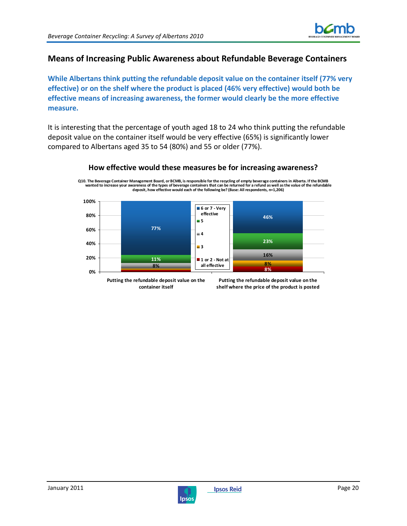

## **Means of Increasing Public Awareness about Refundable Beverage Containers**

**While Albertans think putting the refundable deposit value on the container itself (77% very effective) or on the shelf where the product is placed (46% very effective) would both be effective means of increasing awareness, the former would clearly be the more effective measure.** 

It is interesting that the percentage of youth aged 18 to 24 who think putting the refundable deposit value on the container itself would be very effective (65%) is significantly lower compared to Albertans aged 35 to 54 (80%) and 55 or older (77%).



## **How effective would these measures be for increasing awareness? Q10. The Beverage Container Management Board, or BCMB, is responsible for the recycling of empty beverage containers in Alberta. If the BCMB**

**wanted to increase your awareness of the types of beverage containers that can be returned for a refund as well as the value of the refundable deposit, how effective would each of the following be? (Base: All respondents, n=1,206)**

**Putting the refundable deposit value on the container itself**

**Putting the refundable deposit value on the shelf where the price of the product is posted**

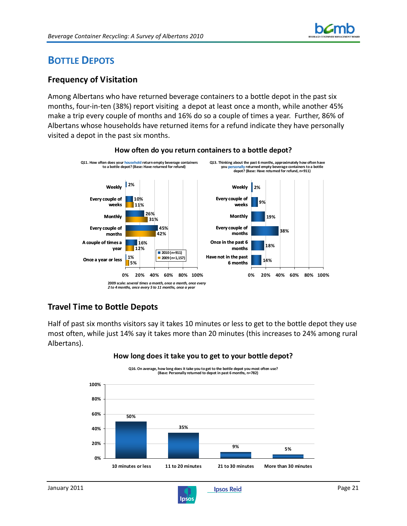

## **BOTTLE DEPOTS**

## **Frequency of Visitation**

Among Albertans who have returned beverage containers to a bottle depot in the past six months, four-in-ten (38%) report visiting a depot at least once a month, while another 45% make a trip every couple of months and 16% do so a couple of times a year. Further, 86% of Albertans whose households have returned items for a refund indicate they have personally visited a depot in the past six months.



### **How often do you return containers to a bottle depot?**

## **Travel Time to Bottle Depots**

Half of past six months visitors say it takes 10 minutes or less to get to the bottle depot they use most often, while just 14% say it takes more than 20 minutes (this increases to 24% among rural Albertans).



### **How long does it take you to get to your bottle depot?**

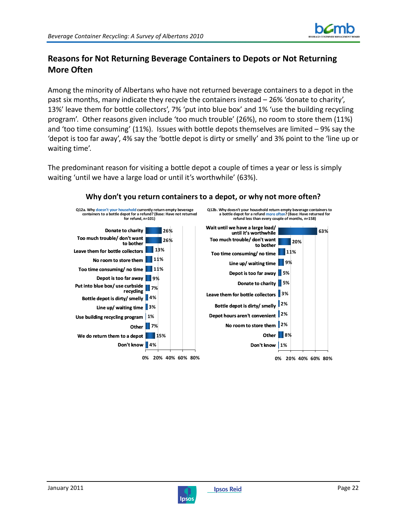

## **Reasons for Not Returning Beverage Containers to Depots or Not Returning More Often**

Among the minority of Albertans who have not returned beverage containers to a depot in the past six months, many indicate they recycle the containers instead – 26% 'donate to charity', 13%' leave them for bottle collectors', 7% 'put into blue box' and 1% 'use the building recycling program'. Other reasons given include 'too much trouble' (26%), no room to store them (11%) and 'too time consuming' (11%). Issues with bottle depots themselves are limited – 9% say the 'depot is too far away', 4% say the 'bottle depot is dirty or smelly' and 3% point to the 'line up or waiting time'.

The predominant reason for visiting a bottle depot a couple of times a year or less is simply waiting 'until we have a large load or until it's worthwhile' (63%).



#### **Why don't you return containers to a depot, or why not more often?**

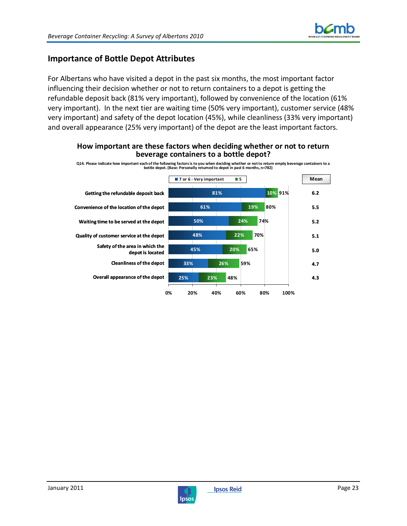

## **Importance of Bottle Depot Attributes**

For Albertans who have visited a depot in the past six months, the most important factor influencing their decision whether or not to return containers to a depot is getting the refundable deposit back (81% very important), followed by convenience of the location (61% very important). In the next tier are waiting time (50% very important), customer service (48% very important) and safety of the depot location (45%), while cleanliness (33% very important) and overall appearance (25% very important) of the depot are the least important factors.



#### **How important are these factors when deciding whether or not to return beverage containers to a bottle depot?**



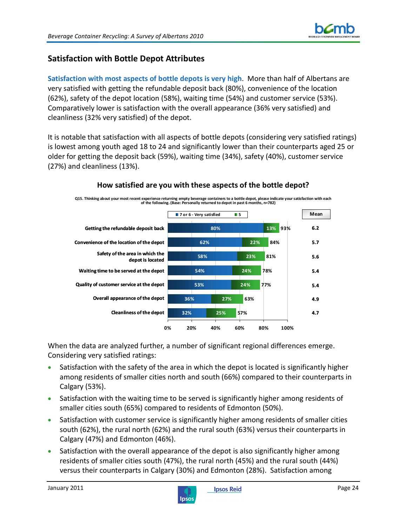

## **Satisfaction with Bottle Depot Attributes**

**Satisfaction with most aspects of bottle depots is very high**. More than half of Albertans are very satisfied with getting the refundable deposit back (80%), convenience of the location (62%), safety of the depot location (58%), waiting time (54%) and customer service (53%). Comparatively lower is satisfaction with the overall appearance (36% very satisfied) and cleanliness (32% very satisfied) of the depot.

It is notable that satisfaction with all aspects of bottle depots (considering very satisfied ratings) is lowest among youth aged 18 to 24 and significantly lower than their counterparts aged 25 or older for getting the deposit back (59%), waiting time (34%), safety (40%), customer service (27%) and cleanliness (13%).



## **How satisfied are you with these aspects of the bottle depot?**

When the data are analyzed further, a number of significant regional differences emerge. Considering very satisfied ratings:

- Satisfaction with the safety of the area in which the depot is located is significantly higher among residents of smaller cities north and south (66%) compared to their counterparts in Calgary (53%).
- Satisfaction with the waiting time to be served is significantly higher among residents of smaller cities south (65%) compared to residents of Edmonton (50%).
- Satisfaction with customer service is significantly higher among residents of smaller cities south (62%), the rural north (62%) and the rural south (63%) versus their counterparts in Calgary (47%) and Edmonton (46%).
- Satisfaction with the overall appearance of the depot is also significantly higher among residents of smaller cities south (47%), the rural north (45%) and the rural south (44%) versus their counterparts in Calgary (30%) and Edmonton (28%). Satisfaction among

![](_page_25_Picture_13.jpeg)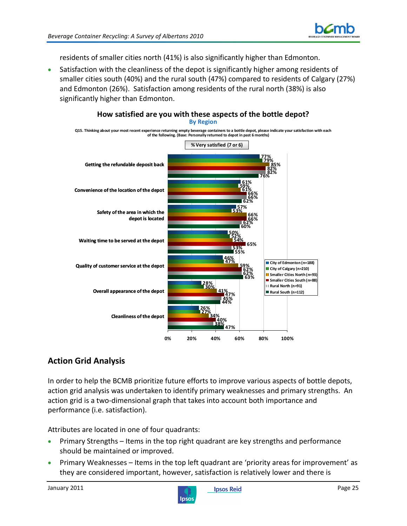![](_page_26_Picture_1.jpeg)

residents of smaller cities north (41%) is also significantly higher than Edmonton.

• Satisfaction with the cleanliness of the depot is significantly higher among residents of smaller cities south (40%) and the rural south (47%) compared to residents of Calgary (27%) and Edmonton (26%). Satisfaction among residents of the rural north (38%) is also significantly higher than Edmonton.

![](_page_26_Figure_4.jpeg)

## **Action Grid Analysis**

In order to help the BCMB prioritize future efforts to improve various aspects of bottle depots, action grid analysis was undertaken to identify primary weaknesses and primary strengths. An action grid is a two-dimensional graph that takes into account both importance and performance (i.e. satisfaction).

Attributes are located in one of four quadrants:

- Primary Strengths Items in the top right quadrant are key strengths and performance should be maintained or improved.
- Primary Weaknesses Items in the top left quadrant are 'priority areas for improvement' as they are considered important, however, satisfaction is relatively lower and there is

![](_page_26_Picture_11.jpeg)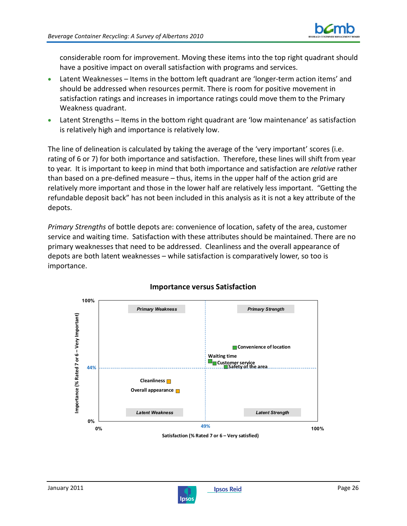![](_page_27_Picture_1.jpeg)

considerable room for improvement. Moving these items into the top right quadrant should have a positive impact on overall satisfaction with programs and services.

- Latent Weaknesses Items in the bottom left quadrant are 'longer-term action items' and should be addressed when resources permit. There is room for positive movement in satisfaction ratings and increases in importance ratings could move them to the Primary Weakness quadrant.
- Latent Strengths Items in the bottom right quadrant are 'low maintenance' as satisfaction is relatively high and importance is relatively low.

The line of delineation is calculated by taking the average of the 'very important' scores (i.e. rating of 6 or 7) for both importance and satisfaction. Therefore, these lines will shift from year to year. It is important to keep in mind that both importance and satisfaction are *relative* rather than based on a pre-defined measure – thus, items in the upper half of the action grid are relatively more important and those in the lower half are relatively less important. "Getting the refundable deposit back" has not been included in this analysis as it is not a key attribute of the depots.

*Primary Strengths* of bottle depots are: convenience of location, safety of the area, customer service and waiting time. Satisfaction with these attributes should be maintained. There are no primary weaknesses that need to be addressed. Cleanliness and the overall appearance of depots are both latent weaknesses – while satisfaction is comparatively lower, so too is importance.

![](_page_27_Figure_7.jpeg)

## **Importance versus Satisfaction**

![](_page_27_Picture_10.jpeg)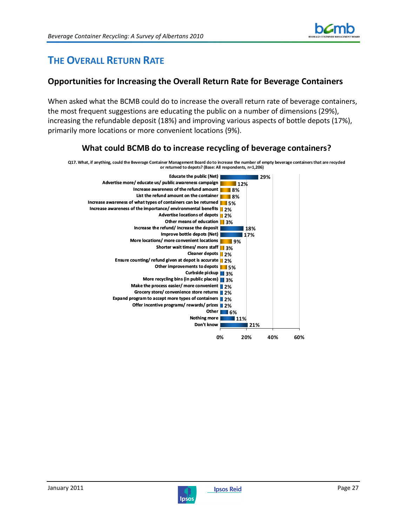![](_page_28_Picture_1.jpeg)

## **THE OVERALL RETURN RATE**

## **Opportunities for Increasing the Overall Return Rate for Beverage Containers**

When asked what the BCMB could do to increase the overall return rate of beverage containers, the most frequent suggestions are educating the public on a number of dimensions (29%), increasing the refundable deposit (18%) and improving various aspects of bottle depots (17%), primarily more locations or more convenient locations (9%).

## **What could BCMB do to increase recycling of beverage containers?**

**Q17. What, if anything, could the Beverage Container Management Board do to increase the number of empty beverage containers that are recycled or returned to depots? (Base: All respondents, n=1,206)**

![](_page_28_Figure_7.jpeg)

![](_page_28_Picture_8.jpeg)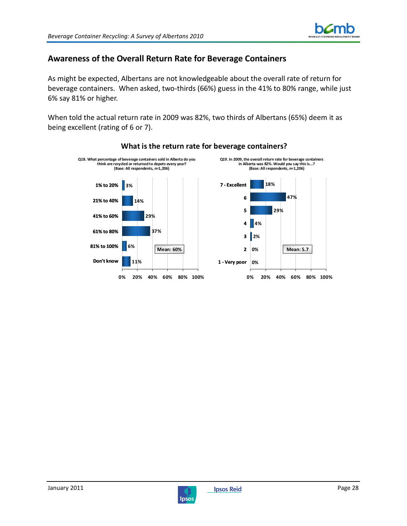![](_page_29_Picture_1.jpeg)

## **Awareness of the Overall Return Rate for Beverage Containers**

As might be expected, Albertans are not knowledgeable about the overall rate of return for beverage containers. When asked, two-thirds (66%) guess in the 41% to 80% range, while just 6% say 81% or higher.

When told the actual return rate in 2009 was 82%, two thirds of Albertans (65%) deem it as being excellent (rating of 6 or 7).

![](_page_29_Figure_5.jpeg)

### **What is the return rate for beverage containers?**

![](_page_29_Picture_8.jpeg)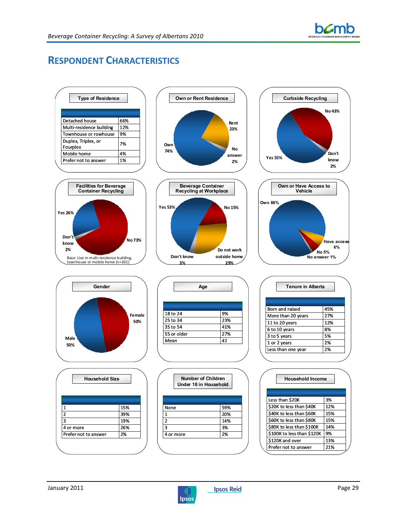![](_page_30_Picture_0.jpeg)

## **RESPONDENT CHARACTERISTICS**

![](_page_30_Figure_3.jpeg)

![](_page_30_Picture_5.jpeg)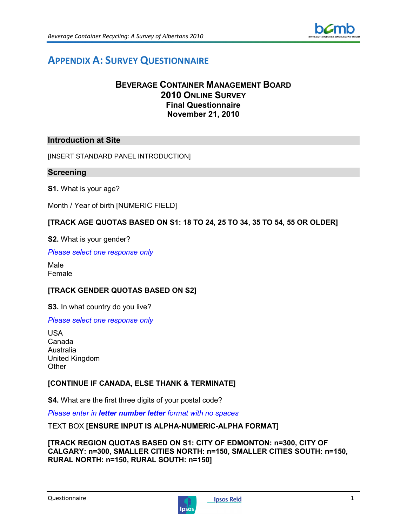![](_page_31_Picture_1.jpeg)

## **APPENDIX A: SURVEY QUESTIONNAIRE**

## **BEVERAGE CONTAINER MANAGEMENT BOARD 2010 ONLINE SURVEY Final Questionnaire November 21, 2010**

### **Introduction at Site**

[INSERT STANDARD PANEL INTRODUCTION]

#### **Screening**

**S1.** What is your age?

Month / Year of birth [NUMERIC FIELD]

#### **[TRACK AGE QUOTAS BASED ON S1: 18 TO 24, 25 TO 34, 35 TO 54, 55 OR OLDER]**

**S2.** What is your gender?

*Please select one response only* 

Male Female

### **[TRACK GENDER QUOTAS BASED ON S2]**

**S3.** In what country do you live?

#### *Please select one response only*

USA Canada Australia United Kingdom **Other** 

### **[CONTINUE IF CANADA, ELSE THANK & TERMINATE]**

**S4.** What are the first three digits of your postal code?

*Please enter in letter number letter format with no spaces* 

#### TEXT BOX **[ENSURE INPUT IS ALPHA-NUMERIC-ALPHA FORMAT]**

#### **[TRACK REGION QUOTAS BASED ON S1: CITY OF EDMONTON: n=300, CITY OF CALGARY: n=300, SMALLER CITIES NORTH: n=150, SMALLER CITIES SOUTH: n=150, RURAL NORTH: n=150, RURAL SOUTH: n=150]**

![](_page_31_Picture_23.jpeg)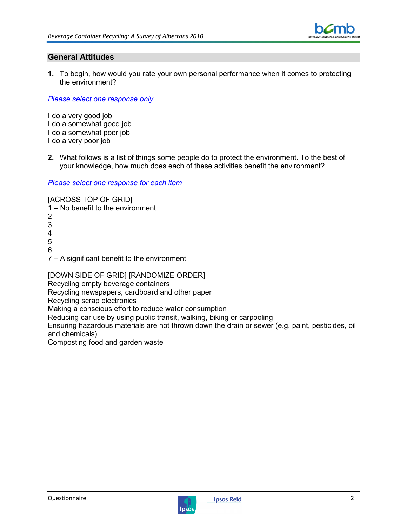![](_page_32_Picture_1.jpeg)

### **General Attitudes**

**1.** To begin, how would you rate your own personal performance when it comes to protecting the environment?

*Please select one response only* 

I do a very good job I do a somewhat good job I do a somewhat poor job I do a very poor job

**2.** What follows is a list of things some people do to protect the environment. To the best of your knowledge, how much does each of these activities benefit the environment?

*Please select one response for each item* 

[ACROSS TOP OF GRID]

- 1 No benefit to the environment
- 2 3 4 5 6 7 – A significant benefit to the environment

[DOWN SIDE OF GRID] [RANDOMIZE ORDER]

Recycling empty beverage containers

Recycling newspapers, cardboard and other paper

Recycling scrap electronics

Making a conscious effort to reduce water consumption

Reducing car use by using public transit, walking, biking or carpooling

Ensuring hazardous materials are not thrown down the drain or sewer (e.g. paint, pesticides, oil and chemicals)

Composting food and garden waste

![](_page_32_Picture_20.jpeg)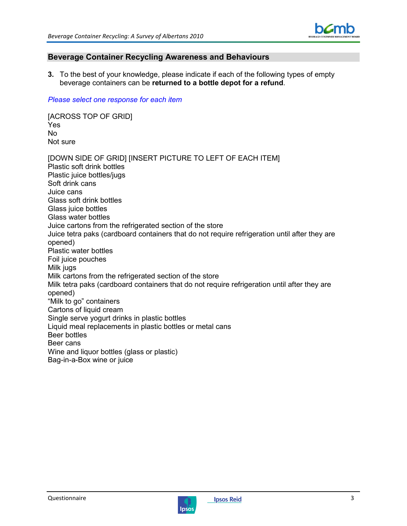![](_page_33_Picture_1.jpeg)

### **Beverage Container Recycling Awareness and Behaviours**

**3.** To the best of your knowledge, please indicate if each of the following types of empty beverage containers can be **returned to a bottle depot for a refund**.

#### *Please select one response for each item*

[ACROSS TOP OF GRID] Yes No Not sure

[DOWN SIDE OF GRID] [INSERT PICTURE TO LEFT OF EACH ITEM] Plastic soft drink bottles Plastic juice bottles/jugs Soft drink cans Juice cans Glass soft drink bottles Glass juice bottles Glass water bottles Juice cartons from the refrigerated section of the store Juice tetra paks (cardboard containers that do not require refrigeration until after they are opened) Plastic water bottles Foil juice pouches Milk jugs Milk cartons from the refrigerated section of the store Milk tetra paks (cardboard containers that do not require refrigeration until after they are opened) "Milk to go" containers Cartons of liquid cream Single serve yogurt drinks in plastic bottles Liquid meal replacements in plastic bottles or metal cans Beer bottles Beer cans Wine and liquor bottles (glass or plastic) Bag-in-a-Box wine or juice

![](_page_33_Picture_8.jpeg)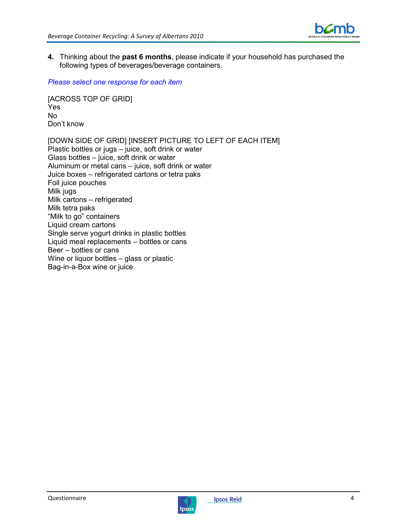![](_page_34_Picture_1.jpeg)

**4.** Thinking about the **past 6 months**, please indicate if your household has purchased the following types of beverages/beverage containers.

*Please select one response for each item* 

[ACROSS TOP OF GRID] Yes No Don't know

[DOWN SIDE OF GRID] [INSERT PICTURE TO LEFT OF EACH ITEM] Plastic bottles or jugs – juice, soft drink or water Glass bottles – juice, soft drink or water Aluminum or metal cans – juice, soft drink or water Juice boxes – refrigerated cartons or tetra paks Foil juice pouches Milk jugs Milk cartons – refrigerated Milk tetra paks "Milk to go" containers Liquid cream cartons Single serve yogurt drinks in plastic bottles Liquid meal replacements – bottles or cans Beer – bottles or cans Wine or liquor bottles – glass or plastic Bag-in-a-Box wine or juice

![](_page_34_Picture_7.jpeg)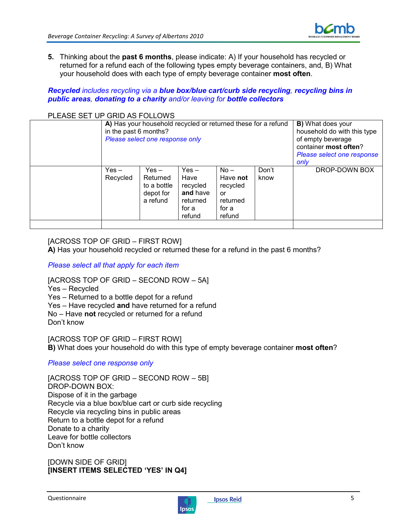![](_page_35_Picture_1.jpeg)

**5.** Thinking about the **past 6 months**, please indicate: A) If your household has recycled or returned for a refund each of the following types empty beverage containers, and, B) What your household does with each type of empty beverage container **most often**.

*Recycled includes recycling via a blue box/blue cart/curb side recycling, recycling bins in public areas, donating to a charity and/or leaving for bottle collectors*

#### PLEASE SET UP GRID AS FOLLOWS

| in the past 6 months? | A) Has your household recycled or returned these for a refund<br>Please select one response only | <b>B)</b> What does your<br>household do with this type<br>of empty beverage<br>container most often?<br>Please select one response<br>only |                                                                     |               |               |
|-----------------------|--------------------------------------------------------------------------------------------------|---------------------------------------------------------------------------------------------------------------------------------------------|---------------------------------------------------------------------|---------------|---------------|
| Yes $-$<br>Recycled   | $Yes -$<br>Returned<br>to a bottle<br>depot for<br>a refund                                      | $Yes -$<br>Have<br>recycled<br>and have<br>returned<br>for a<br>refund                                                                      | $No -$<br>Have not<br>recycled<br>or<br>returned<br>for a<br>refund | Don't<br>know | DROP-DOWN BOX |

### [ACROSS TOP OF GRID – FIRST ROW]

**A)** Has your household recycled or returned these for a refund in the past 6 months?

#### *Please select all that apply for each item*

[ACROSS TOP OF GRID – SECOND ROW – 5A]

Yes – Recycled

Yes – Returned to a bottle depot for a refund

Yes – Have recycled **and** have returned for a refund

No – Have **not** recycled or returned for a refund

Don't know

[ACROSS TOP OF GRID – FIRST ROW] **B)** What does your household do with this type of empty beverage container **most often**?

#### *Please select one response only*

[ACROSS TOP OF GRID – SECOND ROW – 5B] DROP-DOWN BOX: Dispose of it in the garbage Recycle via a blue box/blue cart or curb side recycling Recycle via recycling bins in public areas Return to a bottle depot for a refund Donate to a charity Leave for bottle collectors Don't know

[DOWN SIDE OF GRID] **[INSERT ITEMS SELECTED 'YES' IN Q4]** 

![](_page_35_Picture_20.jpeg)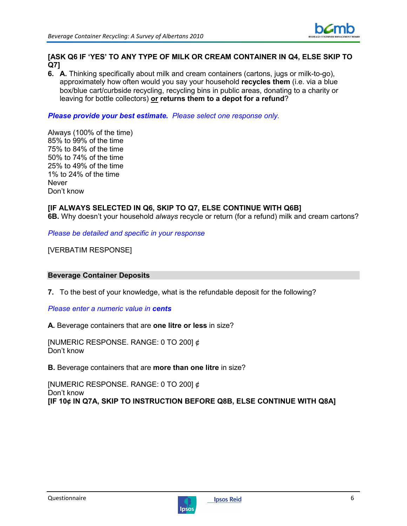![](_page_36_Picture_1.jpeg)

### **[ASK Q6 IF 'YES' TO ANY TYPE OF MILK OR CREAM CONTAINER IN Q4, ELSE SKIP TO Q7]**

**6. A.** Thinking specifically about milk and cream containers (cartons, jugs or milk-to-go), approximately how often would you say your household **recycles them** (i.e. via a blue box/blue cart/curbside recycling, recycling bins in public areas, donating to a charity or leaving for bottle collectors) **or returns them to a depot for a refund**?

### *Please provide your best estimate. Please select one response only.*

Always (100% of the time) 85% to 99% of the time 75% to 84% of the time 50% to 74% of the time 25% to 49% of the time 1% to 24% of the time Never Don't know

## **[IF ALWAYS SELECTED IN Q6, SKIP TO Q7, ELSE CONTINUE WITH Q6B]**

**6B.** Why doesn't your household *always* recycle or return (for a refund) milk and cream cartons?

*Please be detailed and specific in your response* 

[VERBATIM RESPONSE]

#### **Beverage Container Deposits**

**7.** To the best of your knowledge, what is the refundable deposit for the following?

*Please enter a numeric value in cents*

**A.** Beverage containers that are **one litre or less** in size?

[NUMERIC RESPONSE. RANGE: 0 TO 200] ¢ Don't know

**B.** Beverage containers that are **more than one litre** in size?

[NUMERIC RESPONSE. RANGE: 0 TO 200] ¢ Don't know **[IF 10¢ IN Q7A, SKIP TO INSTRUCTION BEFORE Q8B, ELSE CONTINUE WITH Q8A]** 

![](_page_36_Picture_18.jpeg)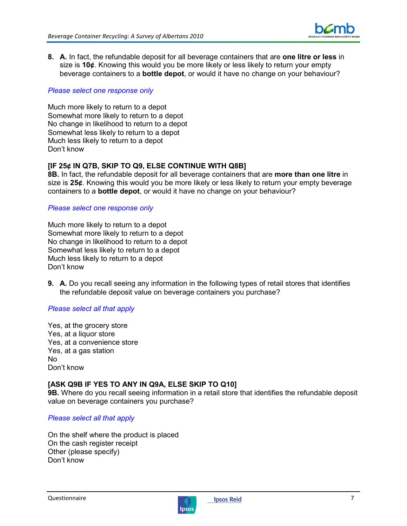![](_page_37_Picture_1.jpeg)

**8. A.** In fact, the refundable deposit for all beverage containers that are **one litre or less** in size is **10¢**. Knowing this would you be more likely or less likely to return your empty beverage containers to a **bottle depot**, or would it have no change on your behaviour?

#### *Please select one response only*

Much more likely to return to a depot Somewhat more likely to return to a depot No change in likelihood to return to a depot Somewhat less likely to return to a depot Much less likely to return to a depot Don't know

### **[IF 25¢ IN Q7B, SKIP TO Q9, ELSE CONTINUE WITH Q8B]**

**8B.** In fact, the refundable deposit for all beverage containers that are **more than one litre** in size is **25¢**. Knowing this would you be more likely or less likely to return your empty beverage containers to a **bottle depot**, or would it have no change on your behaviour?

#### *Please select one response only*

Much more likely to return to a depot Somewhat more likely to return to a depot No change in likelihood to return to a depot Somewhat less likely to return to a depot Much less likely to return to a depot Don't know

**9. A.** Do you recall seeing any information in the following types of retail stores that identifies the refundable deposit value on beverage containers you purchase?

### *Please select all that apply*

Yes, at the grocery store Yes, at a liquor store Yes, at a convenience store Yes, at a gas station No Don't know

### **[ASK Q9B IF YES TO ANY IN Q9A, ELSE SKIP TO Q10]**

**9B.** Where do you recall seeing information in a retail store that identifies the refundable deposit value on beverage containers you purchase?

#### *Please select all that apply*

On the shelf where the product is placed On the cash register receipt Other (please specify) Don't know

![](_page_37_Picture_17.jpeg)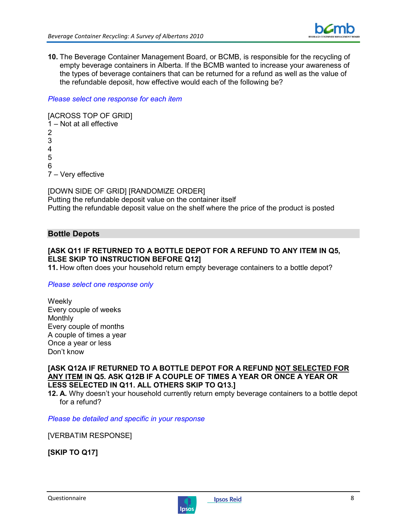![](_page_38_Picture_1.jpeg)

**10.** The Beverage Container Management Board, or BCMB, is responsible for the recycling of empty beverage containers in Alberta. If the BCMB wanted to increase your awareness of the types of beverage containers that can be returned for a refund as well as the value of the refundable deposit, how effective would each of the following be?

#### *Please select one response for each item*

[ACROSS TOP OF GRID] 1 – Not at all effective 2 3 4 5 6 7 – Very effective

[DOWN SIDE OF GRID] [RANDOMIZE ORDER] Putting the refundable deposit value on the container itself Putting the refundable deposit value on the shelf where the price of the product is posted

### **Bottle Depots**

### **[ASK Q11 IF RETURNED TO A BOTTLE DEPOT FOR A REFUND TO ANY ITEM IN Q5, ELSE SKIP TO INSTRUCTION BEFORE Q12]**

**11.** How often does your household return empty beverage containers to a bottle depot?

#### *Please select one response only*

**Weekly** Every couple of weeks Monthly Every couple of months A couple of times a year Once a year or less Don't know

**[ASK Q12A IF RETURNED TO A BOTTLE DEPOT FOR A REFUND NOT SELECTED FOR ANY ITEM IN Q5. ASK Q12B IF A COUPLE OF TIMES A YEAR OR ONCE A YEAR OR LESS SELECTED IN Q11. ALL OTHERS SKIP TO Q13.]**

**12. A.** Why doesn't your household currently return empty beverage containers to a bottle depot for a refund?

*Please be detailed and specific in your response* 

[VERBATIM RESPONSE]

**[SKIP TO Q17]** 

![](_page_38_Picture_17.jpeg)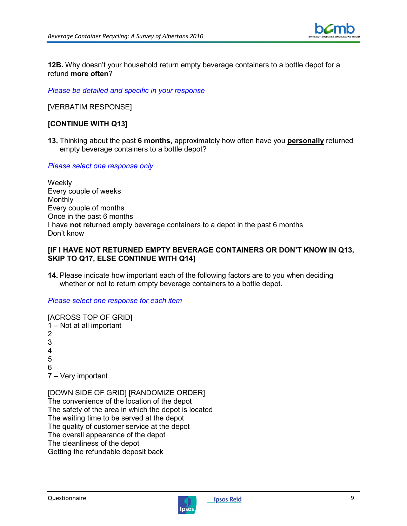![](_page_39_Picture_1.jpeg)

**12B.** Why doesn't your household return empty beverage containers to a bottle depot for a refund **more often**?

*Please be detailed and specific in your response* 

[VERBATIM RESPONSE]

### **[CONTINUE WITH Q13]**

**13.** Thinking about the past **6 months**, approximately how often have you **personally** returned empty beverage containers to a bottle depot?

*Please select one response only* 

**Weekly** Every couple of weeks **Monthly** Every couple of months Once in the past 6 months I have **not** returned empty beverage containers to a depot in the past 6 months Don't know

#### **[IF I HAVE NOT RETURNED EMPTY BEVERAGE CONTAINERS OR DON'T KNOW IN Q13, SKIP TO Q17, ELSE CONTINUE WITH Q14]**

**14.** Please indicate how important each of the following factors are to you when deciding whether or not to return empty beverage containers to a bottle depot.

#### *Please select one response for each item*

[ACROSS TOP OF GRID] 1 – Not at all important 2 3 4 5 6 7 – Very important

[DOWN SIDE OF GRID] [RANDOMIZE ORDER] The convenience of the location of the depot The safety of the area in which the depot is located The waiting time to be served at the depot The quality of customer service at the depot The overall appearance of the depot The cleanliness of the depot Getting the refundable deposit back

![](_page_39_Picture_15.jpeg)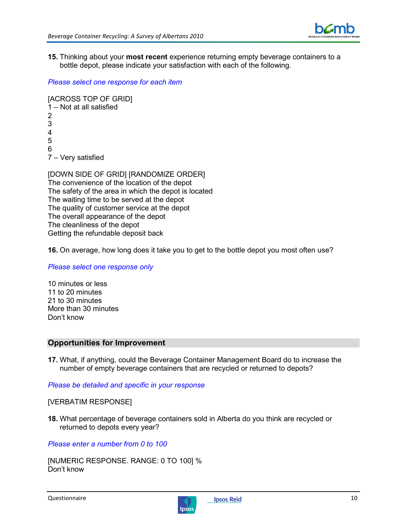![](_page_40_Picture_1.jpeg)

**15.** Thinking about your **most recent** experience returning empty beverage containers to a bottle depot, please indicate your satisfaction with each of the following.

*Please select one response for each item* 

```
[ACROSS TOP OF GRID] 
1 – Not at all satisfied 
\mathfrak{p}3 
4 
5 
6 
7 – Very satisfied
```
[DOWN SIDE OF GRID] [RANDOMIZE ORDER] The convenience of the location of the depot The safety of the area in which the depot is located The waiting time to be served at the depot The quality of customer service at the depot The overall appearance of the depot The cleanliness of the depot Getting the refundable deposit back

**16.** On average, how long does it take you to get to the bottle depot you most often use?

*Please select one response only* 

10 minutes or less 11 to 20 minutes 21 to 30 minutes More than 30 minutes Don't know

### **Opportunities for Improvement**

**17.** What, if anything, could the Beverage Container Management Board do to increase the number of empty beverage containers that are recycled or returned to depots?

*Please be detailed and specific in your response* 

[VERBATIM RESPONSE]

**18.** What percentage of beverage containers sold in Alberta do you think are recycled or returned to depots every year?

*Please enter a number from 0 to 100* 

[NUMERIC RESPONSE. RANGE: 0 TO 100] % Don't know

![](_page_40_Picture_17.jpeg)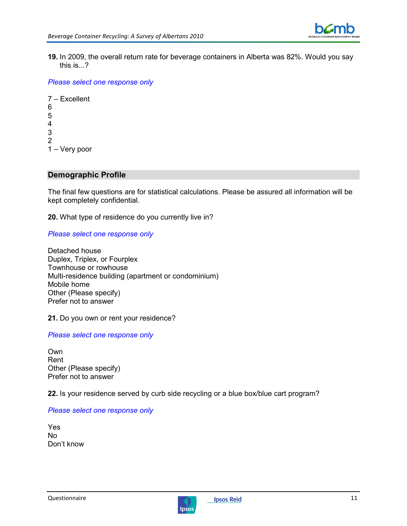![](_page_41_Picture_1.jpeg)

**19.** In 2009, the overall return rate for beverage containers in Alberta was 82%. Would you say this is...?

*Please select one response only* 

7 – Excellent 6 5 4 3 2 1 – Very poor

#### **Demographic Profile**

The final few questions are for statistical calculations. Please be assured all information will be kept completely confidential.

**20.** What type of residence do you currently live in?

#### *Please select one response only*

Detached house Duplex, Triplex, or Fourplex Townhouse or rowhouse Multi-residence building (apartment or condominium) Mobile home Other (Please specify) Prefer not to answer

**21.** Do you own or rent your residence?

#### *Please select one response only*

Own Rent Other (Please specify) Prefer not to answer

**22.** Is your residence served by curb side recycling or a blue box/blue cart program?

#### *Please select one response only*

Yes No Don't know

![](_page_41_Picture_17.jpeg)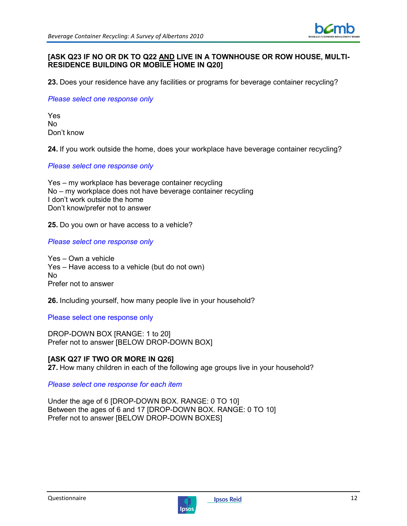![](_page_42_Picture_1.jpeg)

#### **[ASK Q23 IF NO OR DK TO Q22 AND LIVE IN A TOWNHOUSE OR ROW HOUSE, MULTI-RESIDENCE BUILDING OR MOBILE HOME IN Q20]**

**23.** Does your residence have any facilities or programs for beverage container recycling?

*Please select one response only* 

Yes No Don't know

**24.** If you work outside the home, does your workplace have beverage container recycling?

*Please select one response only* 

Yes – my workplace has beverage container recycling No – my workplace does not have beverage container recycling I don't work outside the home Don't know/prefer not to answer

**25.** Do you own or have access to a vehicle?

*Please select one response only* 

Yes – Own a vehicle Yes – Have access to a vehicle (but do not own) No Prefer not to answer

**26.** Including yourself, how many people live in your household?

Please select one response only

DROP-DOWN BOX [RANGE: 1 to 20] Prefer not to answer [BELOW DROP-DOWN BOX]

### **[ASK Q27 IF TWO OR MORE IN Q26]**

**27.** How many children in each of the following age groups live in your household?

*Please select one response for each item* 

Under the age of 6 [DROP-DOWN BOX. RANGE: 0 TO 10] Between the ages of 6 and 17 [DROP-DOWN BOX. RANGE: 0 TO 10] Prefer not to answer [BELOW DROP-DOWN BOXES]

![](_page_42_Picture_20.jpeg)